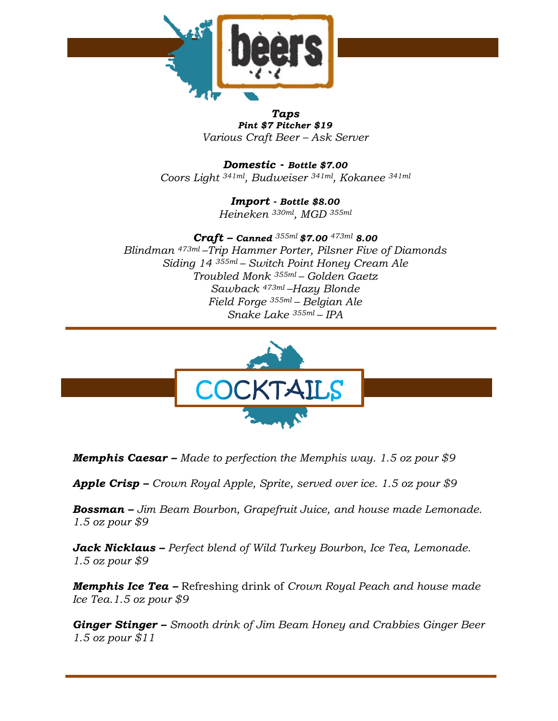

*Taps Pint \$7 Pitcher \$19 Various Craft Beer – Ask Server* 

*Domestic - Bottle \$7.00 Coors Light 341ml, Budweiser 341ml, Kokanee 341ml*

> *Import - Bottle \$8.00 Heineken 330ml , MGD 355ml*

*Craft – Canned 355ml \$7.00 473ml 8.00 Blindman 473ml –Trip Hammer Porter, Pilsner Five of Diamonds Siding 14 355ml – Switch Point Honey Cream Ale Troubled Monk 355ml – Golden Gaetz Sawback 473ml –Hazy Blonde Field Forge 355ml – Belgian Ale Snake Lake 355ml – IPA*



*Memphis Caesar – Made to perfection the Memphis way. 1.5 oz pour \$9*

*Apple Crisp – Crown Royal Apple, Sprite, served over ice. 1.5 oz pour \$9*

*Bossman – Jim Beam Bourbon, Grapefruit Juice, and house made Lemonade. 1.5 oz pour \$9*

*Jack Nicklaus – Perfect blend of Wild Turkey Bourbon, Ice Tea, Lemonade. 1.5 oz pour \$9*

*Memphis Ice Tea –* Refreshing drink of *Crown Royal Peach and house made Ice Tea.1.5 oz pour \$9*

*Ginger Stinger – Smooth drink of Jim Beam Honey and Crabbies Ginger Beer 1.5 oz pour \$11*